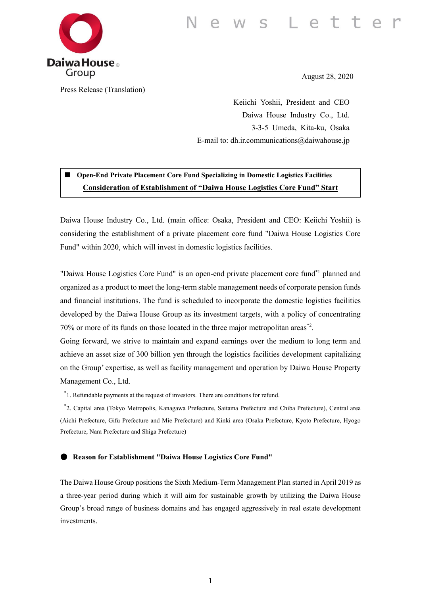

Press Release (Translation)

August 28, 2020

Keiichi Yoshii, President and CEO Daiwa House Industry Co., Ltd. 3-3-5 Umeda, Kita-ku, Osaka E-mail to: dh.ir.communications@daiwahouse.jp

■ **Open-End Private Placement Core Fund Specializing in Domestic Logistics Facilities Consideration of Establishment of "Daiwa House Logistics Core Fund" Start**

Daiwa House Industry Co., Ltd. (main office: Osaka, President and CEO: Keiichi Yoshii) is considering the establishment of a private placement core fund "Daiwa House Logistics Core Fund" within 2020, which will invest in domestic logistics facilities.

"Daiwa House Logistics Core Fund" is an open-end private placement core fund<sup>\*1</sup> planned and organized as a product to meet the long-term stable management needs of corporate pension funds and financial institutions. The fund is scheduled to incorporate the domestic logistics facilities developed by the Daiwa House Group as its investment targets, with a policy of concentrating 70% or more of its funds on those located in the three major metropolitan areas\*2 .

Going forward, we strive to maintain and expand earnings over the medium to long term and achieve an asset size of 300 billion yen through the logistics facilities development capitalizing on the Group' expertise, as well as facility management and operation by Daiwa House Property Management Co., Ltd.

\* 1. Refundable payments at the request of investors. There are conditions for refund.

\* 2. Capital area (Tokyo Metropolis, Kanagawa Prefecture, Saitama Prefecture and Chiba Prefecture), Central area (Aichi Prefecture, Gifu Prefecture and Mie Prefecture) and Kinki area (Osaka Prefecture, Kyoto Prefecture, Hyogo Prefecture, Nara Prefecture and Shiga Prefecture)

## ● **Reason for Establishment "Daiwa House Logistics Core Fund"**

The Daiwa House Group positions the Sixth Medium-Term Management Plan started in April 2019 as a three-year period during which it will aim for sustainable growth by utilizing the Daiwa House Group's broad range of business domains and has engaged aggressively in real estate development investments.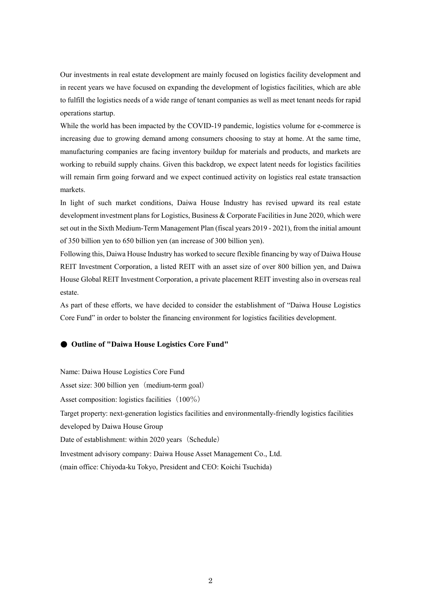Our investments in real estate development are mainly focused on logistics facility development and in recent years we have focused on expanding the development of logistics facilities, which are able to fulfill the logistics needs of a wide range of tenant companies as well as meet tenant needs for rapid operations startup.

While the world has been impacted by the COVID-19 pandemic, logistics volume for e-commerce is increasing due to growing demand among consumers choosing to stay at home. At the same time, manufacturing companies are facing inventory buildup for materials and products, and markets are working to rebuild supply chains. Given this backdrop, we expect latent needs for logistics facilities will remain firm going forward and we expect continued activity on logistics real estate transaction markets.

In light of such market conditions, Daiwa House Industry has revised upward its real estate development investment plans for Logistics, Business & Corporate Facilities in June 2020, which were set out in the Sixth Medium-Term Management Plan (fiscal years 2019 - 2021), from the initial amount of 350 billion yen to 650 billion yen (an increase of 300 billion yen).

Following this, Daiwa House Industry has worked to secure flexible financing by way of Daiwa House REIT Investment Corporation, a listed REIT with an asset size of over 800 billion yen, and Daiwa House Global REIT Investment Corporation, a private placement REIT investing also in overseas real estate.

As part of these efforts, we have decided to consider the establishment of "Daiwa House Logistics Core Fund" in order to bolster the financing environment for logistics facilities development.

## ● **Outline of "Daiwa House Logistics Core Fund"**

Name: Daiwa House Logistics Core Fund Asset size: 300 billion yen (medium-term goal) Asset composition: logistics facilities  $(100\%)$ Target property: next-generation logistics facilities and environmentally-friendly logistics facilities developed by Daiwa House Group Date of establishment: within 2020 years (Schedule) Investment advisory company: Daiwa House Asset Management Co., Ltd. (main office: Chiyoda-ku Tokyo, President and CEO: Koichi Tsuchida)